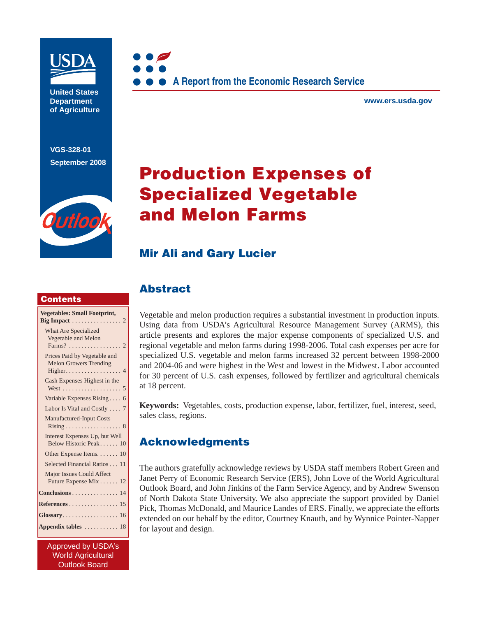

**United States Department of Agriculture** 

**VGS-328-01 September 2008**





**www.ers.usda.gov** 

# **Production Expenses of Specialized Vegetable and Melon Farms**

### **Mir Ali and Gary Lucier**

### **Contents**

| <b>Vegetables: Small Footprint,</b>                           |
|---------------------------------------------------------------|
| Big Impact $\dots \dots \dots \dots \dots 2$                  |
| What Are Specialized                                          |
| Vegetable and Melon                                           |
| Farms? 2                                                      |
| Prices Paid by Vegetable and<br><b>Melon Growers Trending</b> |
| $Higher \ldots \ldots \ldots \ldots \ldots 4$                 |
| Cash Expenses Highest in the                                  |
|                                                               |
| Variable Expenses Rising 6                                    |
| Labor Is Vital and Costly 7                                   |
| <b>Manufactured-Input Costs</b>                               |
| $Rising \ldots \ldots \ldots \ldots \ldots 8$                 |
| Interest Expenses Up, but Well                                |
| Below Historic Peak 10                                        |
| Other Expense Items. 10                                       |
| Selected Financial Ratios 11                                  |
| <b>Major Issues Could Affect</b>                              |
| Future Expense Mix 12                                         |
| Conclusions 14                                                |
| <b>References</b> 15                                          |
| Glossary 16                                                   |
| Appendix tables $\dots \dots \dots \dots 18$                  |

Approved by USDA's World Agricultural Outlook Board

### **Abstract**

Vegetable and melon production requires a substantial investment in production inputs. Using data from USDA's Agricultural Resource Management Survey (ARMS), this article presents and explores the major expense components of specialized U.S. and regional vegetable and melon farms during 1998-2006. Total cash expenses per acre for specialized U.S. vegetable and melon farms increased 32 percent between 1998-2000 and 2004-06 and were highest in the West and lowest in the Midwest. Labor accounted for 30 percent of U.S. cash expenses, followed by fertilizer and agricultural chemicals at 18 percent.

**Keywords:** Vegetables, costs, production expense, labor, fertilizer, fuel, interest, seed, sales class, regions.

### **Acknowledgments**

The authors gratefully acknowledge reviews by USDA staff members Robert Green and Janet Perry of Economic Research Service (ERS), John Love of the World Agricultural Outlook Board, and John Jinkins of the Farm Service Agency, and by Andrew Swenson of North Dakota State University. We also appreciate the support provided by Daniel Pick, Thomas McDonald, and Maurice Landes of ERS. Finally, we appreciate the efforts extended on our behalf by the editor, Courtney Knauth, and by Wynnice Pointer-Napper for layout and design.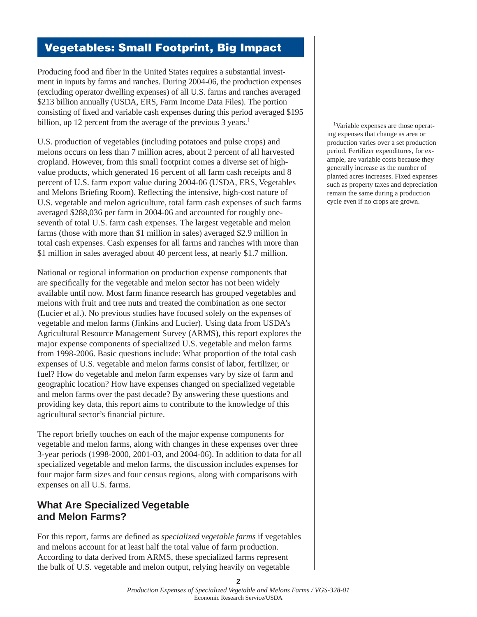# **Vegetables: Small Footprint, Big Impact**

Producing food and fiber in the United States requires a substantial investment in inputs by farms and ranches. During 2004-06, the production expenses (excluding operator dwelling expenses) of all U.S. farms and ranches averaged \$213 billion annually (USDA, ERS, Farm Income Data Files). The portion consisting of fixed and variable cash expenses during this period averaged \$195 billion, up 12 percent from the average of the previous 3 years.<sup>1</sup>

U.S. production of vegetables (including potatoes and pulse crops) and melons occurs on less than 7 million acres, about 2 percent of all harvested cropland. However, from this small footprint comes a diverse set of highvalue products, which generated 16 percent of all farm cash receipts and 8 percent of U.S. farm export value during 2004-06 (USDA, ERS, Vegetables and Melons Briefing Room). Reflecting the intensive, high-cost nature of U.S. vegetable and melon agriculture, total farm cash expenses of such farms averaged \$288,036 per farm in 2004-06 and accounted for roughly oneseventh of total U.S. farm cash expenses. The largest vegetable and melon farms (those with more than \$1 million in sales) averaged \$2.9 million in total cash expenses. Cash expenses for all farms and ranches with more than \$1 million in sales averaged about 40 percent less, at nearly \$1.7 million.

National or regional information on production expense components that are specifically for the vegetable and melon sector has not been widely available until now. Most farm finance research has grouped vegetables and melons with fruit and tree nuts and treated the combination as one sector (Lucier et al.). No previous studies have focused solely on the expenses of vegetable and melon farms (Jinkins and Lucier). Using data from USDA's Agricultural Resource Management Survey (ARMS), this report explores the major expense components of specialized U.S. vegetable and melon farms from 1998-2006. Basic questions include: What proportion of the total cash expenses of U.S. vegetable and melon farms consist of labor, fertilizer, or fuel? How do vegetable and melon farm expenses vary by size of farm and geographic location? How have expenses changed on specialized vegetable and melon farms over the past decade? By answering these questions and providing key data, this report aims to contribute to the knowledge of this agricultural sector's financial picture.

The report briefly touches on each of the major expense components for vegetable and melon farms, along with changes in these expenses over three 3-year periods (1998-2000, 2001-03, and 2004-06). In addition to data for all specialized vegetable and melon farms, the discussion includes expenses for four major farm sizes and four census regions, along with comparisons with expenses on all U.S. farms.

### **What Are Specialized Vegetable and Melon Farms?**

For this report, farms are defined as *specialized vegetable farms* if vegetables and melons account for at least half the total value of farm production. According to data derived from ARMS, these specialized farms represent the bulk of U.S. vegetable and melon output, relying heavily on vegetable

 1Variable expenses are those operating expenses that change as area or production varies over a set production period. Fertilizer expenditures, for example, are variable costs because they generally increase as the number of planted acres increases. Fixed expenses such as property taxes and depreciation remain the same during a production cycle even if no crops are grown.

**2**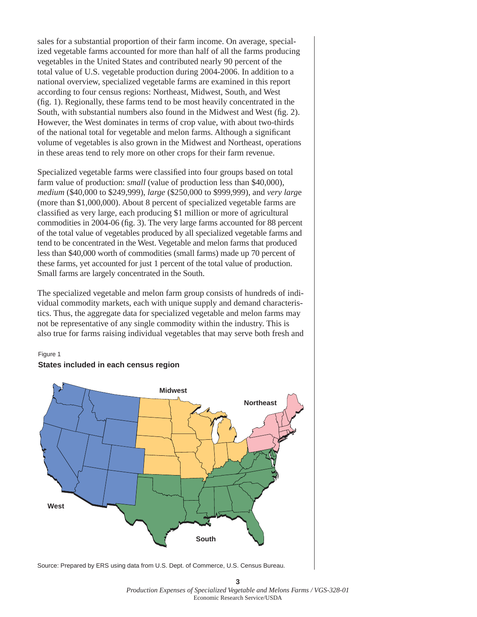sales for a substantial proportion of their farm income. On average, specialized vegetable farms accounted for more than half of all the farms producing vegetables in the United States and contributed nearly 90 percent of the total value of U.S. vegetable production during 2004-2006. In addition to a national overview, specialized vegetable farms are examined in this report according to four census regions: Northeast, Midwest, South, and West  $(f_1, 1)$ . Regionally, these farms tend to be most heavily concentrated in the South, with substantial numbers also found in the Midwest and West (fig. 2). However, the West dominates in terms of crop value, with about two-thirds of the national total for vegetable and melon farms. Although a significant volume of vegetables is also grown in the Midwest and Northeast, operations in these areas tend to rely more on other crops for their farm revenue.

Specialized vegetable farms were classified into four groups based on total farm value of production: *small* (value of production less than \$40,000), *medium* (\$40,000 to \$249,999), *large* (\$250,000 to \$999,999), and *very larg*e (more than \$1,000,000). About 8 percent of specialized vegetable farms are classified as very large, each producing \$1 million or more of agricultural commodities in 2004-06 (fig. 3). The very large farms accounted for 88 percent of the total value of vegetables produced by all specialized vegetable farms and tend to be concentrated in the West. Vegetable and melon farms that produced less than \$40,000 worth of commodities (small farms) made up 70 percent of these farms, yet accounted for just 1 percent of the total value of production. Small farms are largely concentrated in the South.

The specialized vegetable and melon farm group consists of hundreds of individual commodity markets, each with unique supply and demand characteristics. Thus, the aggregate data for specialized vegetable and melon farms may not be representative of any single commodity within the industry. This is also true for farms raising individual vegetables that may serve both fresh and

#### Figure 1



### **States included in each census region**

Source: Prepared by ERS using data from U.S. Dept. of Commerce, U.S. Census Bureau.

**3** *Production Expenses of Specialized Vegetable and Melons Farms / VGS-328-01*  Economic Research Service/USDA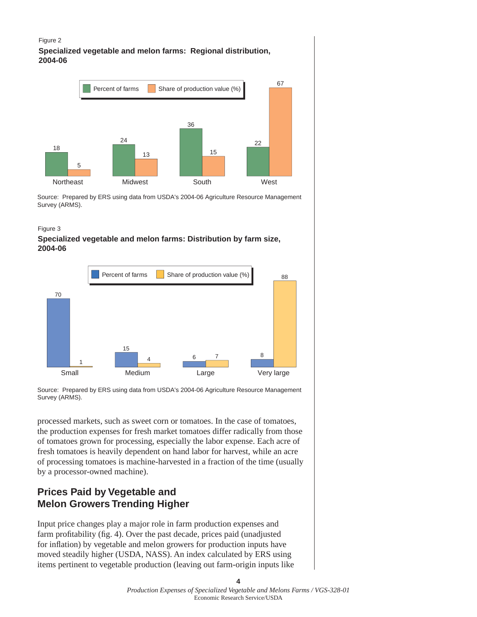#### Figure 2

**Specialized vegetable and melon farms: Regional distribution, 2004-06**



Source: Prepared by ERS using data from USDA's 2004-06 Agriculture Resource Management Survey (ARMS).

#### Figure 3

#### **Specialized vegetable and melon farms: Distribution by farm size, 2004-06**



Source: Prepared by ERS using data from USDA's 2004-06 Agriculture Resource Management Survey (ARMS).

processed markets, such as sweet corn or tomatoes. In the case of tomatoes, the production expenses for fresh market tomatoes differ radically from those of tomatoes grown for processing, especially the labor expense. Each acre of fresh tomatoes is heavily dependent on hand labor for harvest, while an acre of processing tomatoes is machine-harvested in a fraction of the time (usually by a processor-owned machine).

### **Prices Paid by Vegetable and Melon Growers Trending Higher**

Input price changes play a major role in farm production expenses and farm profitability (fig. 4). Over the past decade, prices paid (unadjusted for inflation) by vegetable and melon growers for production inputs have moved steadily higher (USDA, NASS). An index calculated by ERS using items pertinent to vegetable production (leaving out farm-origin inputs like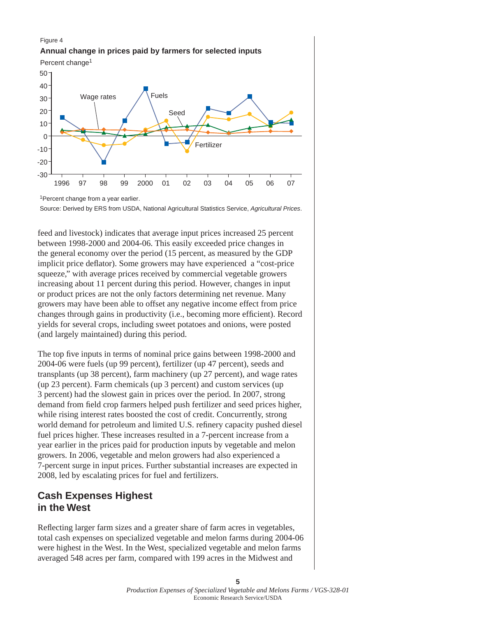#### Figure 4



Percent change<sup>1</sup>



<sup>1</sup>Percent change from a year earlier.

Source: Derived by ERS from USDA, National Agricultural Statistics Service, *Agricultural Prices*.

feed and livestock) indicates that average input prices increased 25 percent between 1998-2000 and 2004-06. This easily exceeded price changes in the general economy over the period (15 percent, as measured by the GDP implicit price deflator). Some growers may have experienced a "cost-price" squeeze," with average prices received by commercial vegetable growers increasing about 11 percent during this period. However, changes in input or product prices are not the only factors determining net revenue. Many growers may have been able to offset any negative income effect from price changes through gains in productivity (i.e., becoming more efficient). Record yields for several crops, including sweet potatoes and onions, were posted (and largely maintained) during this period.

The top five inputs in terms of nominal price gains between 1998-2000 and 2004-06 were fuels (up 99 percent), fertilizer (up 47 percent), seeds and transplants (up 38 percent), farm machinery (up 27 percent), and wage rates (up 23 percent). Farm chemicals (up 3 percent) and custom services (up 3 percent) had the slowest gain in prices over the period. In 2007, strong demand from field crop farmers helped push fertilizer and seed prices higher, while rising interest rates boosted the cost of credit. Concurrently, strong world demand for petroleum and limited U.S. refinery capacity pushed diesel fuel prices higher. These increases resulted in a 7-percent increase from a year earlier in the prices paid for production inputs by vegetable and melon growers. In 2006, vegetable and melon growers had also experienced a 7-percent surge in input prices. Further substantial increases are expected in 2008, led by escalating prices for fuel and fertilizers.

### **Cash Expenses Highest in the West**

Reflecting larger farm sizes and a greater share of farm acres in vegetables, total cash expenses on specialized vegetable and melon farms during 2004-06 were highest in the West. In the West, specialized vegetable and melon farms averaged 548 acres per farm, compared with 199 acres in the Midwest and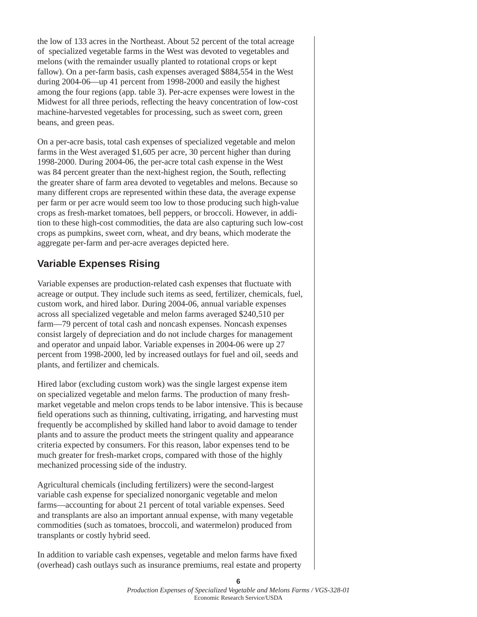the low of 133 acres in the Northeast. About 52 percent of the total acreage of specialized vegetable farms in the West was devoted to vegetables and melons (with the remainder usually planted to rotational crops or kept fallow). On a per-farm basis, cash expenses averaged \$884,554 in the West during 2004-06—up 41 percent from 1998-2000 and easily the highest among the four regions (app. table 3). Per-acre expenses were lowest in the Midwest for all three periods, reflecting the heavy concentration of low-cost machine-harvested vegetables for processing, such as sweet corn, green beans, and green peas.

On a per-acre basis, total cash expenses of specialized vegetable and melon farms in the West averaged \$1,605 per acre, 30 percent higher than during 1998-2000. During 2004-06, the per-acre total cash expense in the West was 84 percent greater than the next-highest region, the South, reflecting the greater share of farm area devoted to vegetables and melons. Because so many different crops are represented within these data, the average expense per farm or per acre would seem too low to those producing such high-value crops as fresh-market tomatoes, bell peppers, or broccoli. However, in addition to these high-cost commodities, the data are also capturing such low-cost crops as pumpkins, sweet corn, wheat, and dry beans, which moderate the aggregate per-farm and per-acre averages depicted here.

### **Variable Expenses Rising**

Variable expenses are production-related cash expenses that fluctuate with acreage or output. They include such items as seed, fertilizer, chemicals, fuel, custom work, and hired labor. During 2004-06, annual variable expenses across all specialized vegetable and melon farms averaged \$240,510 per farm—79 percent of total cash and noncash expenses. Noncash expenses consist largely of depreciation and do not include charges for management and operator and unpaid labor. Variable expenses in 2004-06 were up 27 percent from 1998-2000, led by increased outlays for fuel and oil, seeds and plants, and fertilizer and chemicals.

Hired labor (excluding custom work) was the single largest expense item on specialized vegetable and melon farms. The production of many freshmarket vegetable and melon crops tends to be labor intensive. This is because field operations such as thinning, cultivating, irrigating, and harvesting must frequently be accomplished by skilled hand labor to avoid damage to tender plants and to assure the product meets the stringent quality and appearance criteria expected by consumers. For this reason, labor expenses tend to be much greater for fresh-market crops, compared with those of the highly mechanized processing side of the industry.

Agricultural chemicals (including fertilizers) were the second-largest variable cash expense for specialized nonorganic vegetable and melon farms—accounting for about 21 percent of total variable expenses. Seed and transplants are also an important annual expense, with many vegetable commodities (such as tomatoes, broccoli, and watermelon) produced from transplants or costly hybrid seed.

In addition to variable cash expenses, vegetable and melon farms have fixed (overhead) cash outlays such as insurance premiums, real estate and property

**6**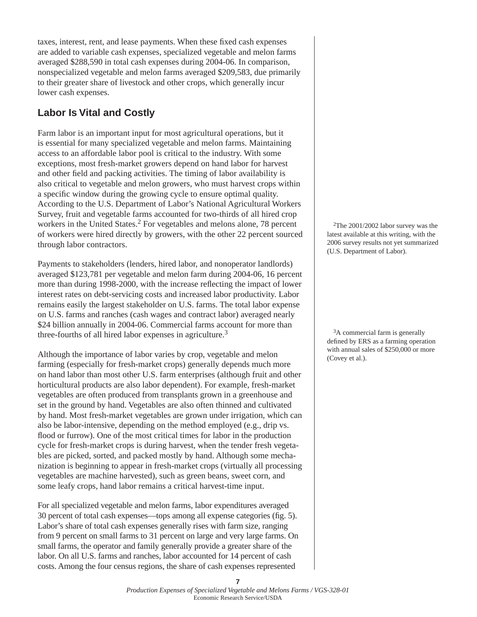taxes, interest, rent, and lease payments. When these fixed cash expenses are added to variable cash expenses, specialized vegetable and melon farms averaged \$288,590 in total cash expenses during 2004-06. In comparison, nonspecialized vegetable and melon farms averaged \$209,583, due primarily to their greater share of livestock and other crops, which generally incur lower cash expenses.

# **Labor Is Vital and Costly**

Farm labor is an important input for most agricultural operations, but it is essential for many specialized vegetable and melon farms. Maintaining access to an affordable labor pool is critical to the industry. With some exceptions, most fresh-market growers depend on hand labor for harvest and other field and packing activities. The timing of labor availability is also critical to vegetable and melon growers, who must harvest crops within a specific window during the growing cycle to ensure optimal quality. According to the U.S. Department of Labor's National Agricultural Workers Survey, fruit and vegetable farms accounted for two-thirds of all hired crop workers in the United States.<sup>2</sup> For vegetables and melons alone, 78 percent of workers were hired directly by growers, with the other 22 percent sourced through labor contractors.

Payments to stakeholders (lenders, hired labor, and nonoperator landlords) averaged \$123,781 per vegetable and melon farm during 2004-06, 16 percent more than during 1998-2000, with the increase reflecting the impact of lower interest rates on debt-servicing costs and increased labor productivity. Labor remains easily the largest stakeholder on U.S. farms. The total labor expense on U.S. farms and ranches (cash wages and contract labor) averaged nearly \$24 billion annually in 2004-06. Commercial farms account for more than three-fourths of all hired labor expenses in agriculture.<sup>3</sup>

Although the importance of labor varies by crop, vegetable and melon farming (especially for fresh-market crops) generally depends much more on hand labor than most other U.S. farm enterprises (although fruit and other horticultural products are also labor dependent). For example, fresh-market vegetables are often produced from transplants grown in a greenhouse and set in the ground by hand. Vegetables are also often thinned and cultivated by hand. Most fresh-market vegetables are grown under irrigation, which can also be labor-intensive, depending on the method employed (e.g., drip vs. flood or furrow). One of the most critical times for labor in the production cycle for fresh-market crops is during harvest, when the tender fresh vegetables are picked, sorted, and packed mostly by hand. Although some mechanization is beginning to appear in fresh-market crops (virtually all processing vegetables are machine harvested), such as green beans, sweet corn, and some leafy crops, hand labor remains a critical harvest-time input.

For all specialized vegetable and melon farms, labor expenditures averaged 30 percent of total cash expenses—tops among all expense categories (fig. 5). Labor's share of total cash expenses generally rises with farm size, ranging from 9 percent on small farms to 31 percent on large and very large farms. On small farms, the operator and family generally provide a greater share of the labor. On all U.S. farms and ranches, labor accounted for 14 percent of cash costs. Among the four census regions, the share of cash expenses represented

 2The 2001/2002 labor survey was the latest available at this writing, with the 2006 survey results not yet summarized (U.S. Department of Labor).

<sup>3</sup>A commercial farm is generally defined by ERS as a farming operation with annual sales of \$250,000 or more (Covey et al.).

**<sup>7</sup>**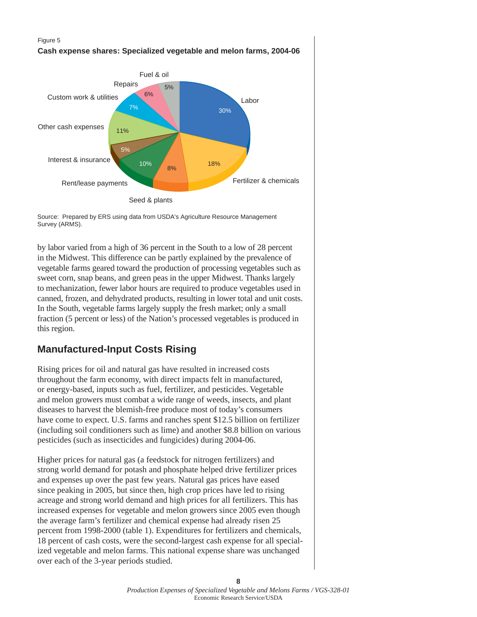#### Figure 5



**Cash expense shares: Specialized vegetable and melon farms, 2004-06**

Source: Prepared by ERS using data from USDA's Agriculture Resource Management Survey (ARMS).

by labor varied from a high of 36 percent in the South to a low of 28 percent in the Midwest. This difference can be partly explained by the prevalence of vegetable farms geared toward the production of processing vegetables such as sweet corn, snap beans, and green peas in the upper Midwest. Thanks largely to mechanization, fewer labor hours are required to produce vegetables used in canned, frozen, and dehydrated products, resulting in lower total and unit costs. In the South, vegetable farms largely supply the fresh market; only a small fraction (5 percent or less) of the Nation's processed vegetables is produced in this region.

# **Manufactured-Input Costs Rising**

Rising prices for oil and natural gas have resulted in increased costs throughout the farm economy, with direct impacts felt in manufactured, or energy-based, inputs such as fuel, fertilizer, and pesticides. Vegetable and melon growers must combat a wide range of weeds, insects, and plant diseases to harvest the blemish-free produce most of today's consumers have come to expect. U.S. farms and ranches spent \$12.5 billion on fertilizer (including soil conditioners such as lime) and another \$8.8 billion on various pesticides (such as insecticides and fungicides) during 2004-06.

Higher prices for natural gas (a feedstock for nitrogen fertilizers) and strong world demand for potash and phosphate helped drive fertilizer prices and expenses up over the past few years. Natural gas prices have eased since peaking in 2005, but since then, high crop prices have led to rising acreage and strong world demand and high prices for all fertilizers. This has increased expenses for vegetable and melon growers since 2005 even though the average farm's fertilizer and chemical expense had already risen 25 percent from 1998-2000 (table 1). Expenditures for fertilizers and chemicals, 18 percent of cash costs, were the second-largest cash expense for all specialized vegetable and melon farms. This national expense share was unchanged over each of the 3-year periods studied.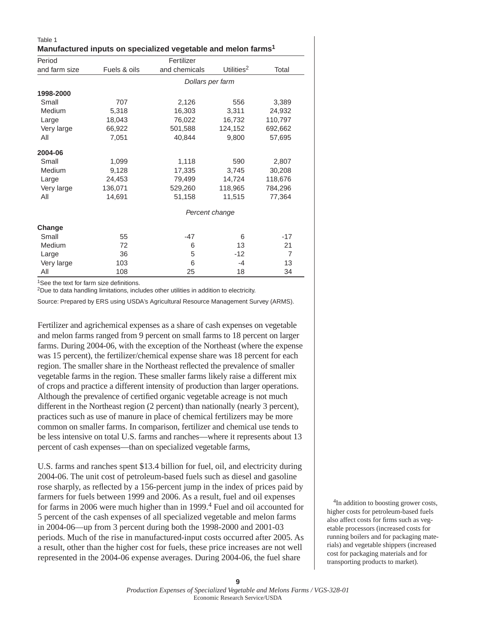| Manufactured inputs on specialized vegetable and melon farms <sup>1</sup> |              |                  |                        |                |  |  |  |
|---------------------------------------------------------------------------|--------------|------------------|------------------------|----------------|--|--|--|
| Period                                                                    |              |                  |                        |                |  |  |  |
| and farm size                                                             | Fuels & oils | and chemicals    | Utilities <sup>2</sup> | Total          |  |  |  |
|                                                                           |              | Dollars per farm |                        |                |  |  |  |
| 1998-2000                                                                 |              |                  |                        |                |  |  |  |
| Small                                                                     | 707          | 2,126            | 556                    | 3,389          |  |  |  |
| Medium                                                                    | 5,318        | 16,303           | 3,311                  | 24,932         |  |  |  |
| Large                                                                     | 18,043       | 76,022           | 16,732                 | 110,797        |  |  |  |
| Very large                                                                | 66,922       | 501,588          | 124,152                | 692,662        |  |  |  |
| All                                                                       | 7,051        | 40,844           | 9,800                  | 57,695         |  |  |  |
| 2004-06                                                                   |              |                  |                        |                |  |  |  |
| Small                                                                     | 1,099        | 1,118            | 590                    | 2,807          |  |  |  |
| Medium                                                                    | 9,128        | 17,335           | 3,745                  | 30,208         |  |  |  |
| Large                                                                     | 24,453       | 79,499           | 14,724                 | 118,676        |  |  |  |
| Very large                                                                | 136,071      | 529,260          | 118,965                | 784,296        |  |  |  |
| All                                                                       | 14,691       | 51,158           | 11,515                 | 77,364         |  |  |  |
|                                                                           |              | Percent change   |                        |                |  |  |  |
| Change                                                                    |              |                  |                        |                |  |  |  |
| Small                                                                     | 55           | $-47$            | 6                      | $-17$          |  |  |  |
| Medium                                                                    | 72           | 6                | 13                     | 21             |  |  |  |
| Large                                                                     | 36           | 5                | $-12$                  | $\overline{7}$ |  |  |  |
| Very large                                                                | 103          | 6                | $-4$                   | 13             |  |  |  |
| All                                                                       | 108          | 25               | 18                     | 34             |  |  |  |

 $1$ See the text for farm size definitions.

Table 1

2Due to data handling limitations, includes other utilities in addition to electricity.

Source: Prepared by ERS using USDA's Agricultural Resource Management Survey (ARMS).

Fertilizer and agrichemical expenses as a share of cash expenses on vegetable and melon farms ranged from 9 percent on small farms to 18 percent on larger farms. During 2004-06, with the exception of the Northeast (where the expense was 15 percent), the fertilizer/chemical expense share was 18 percent for each region. The smaller share in the Northeast reflected the prevalence of smaller vegetable farms in the region. These smaller farms likely raise a different mix of crops and practice a different intensity of production than larger operations. Although the prevalence of certified organic vegetable acreage is not much different in the Northeast region (2 percent) than nationally (nearly 3 percent), practices such as use of manure in place of chemical fertilizers may be more common on smaller farms. In comparison, fertilizer and chemical use tends to be less intensive on total U.S. farms and ranches—where it represents about 13 percent of cash expenses—than on specialized vegetable farms,

U.S. farms and ranches spent \$13.4 billion for fuel, oil, and electricity during 2004-06. The unit cost of petroleum-based fuels such as diesel and gasoline rose sharply, as reflected by a 156-percent jump in the index of prices paid by farmers for fuels between 1999 and 2006. As a result, fuel and oil expenses for farms in 2006 were much higher than in 1999.<sup>4</sup> Fuel and oil accounted for 5 percent of the cash expenses of all specialized vegetable and melon farms in 2004-06—up from 3 percent during both the 1998-2000 and 2001-03 periods. Much of the rise in manufactured-input costs occurred after 2005. As a result, other than the higher cost for fuels, these price increases are not well represented in the 2004-06 expense averages. During 2004-06, the fuel share

<sup>4</sup>In addition to boosting grower costs, higher costs for petroleum-based fuels also affect costs for firms such as vegetable processors (increased costs for running boilers and for packaging materials) and vegetable shippers (increased cost for packaging materials and for transporting products to market).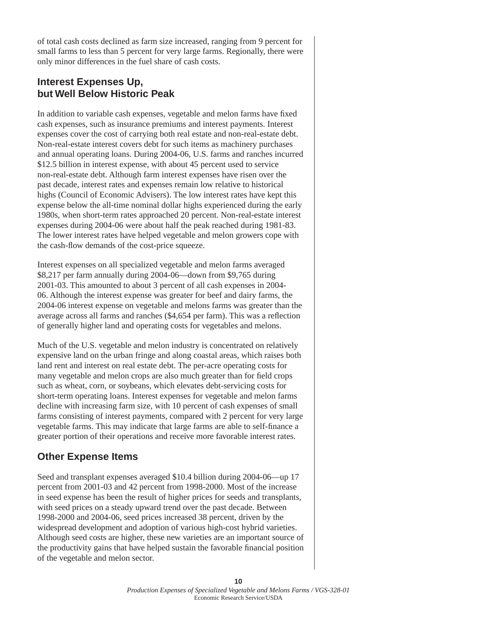of total cash costs declined as farm size increased, ranging from 9 percent for small farms to less than 5 percent for very large farms. Regionally, there were only minor differences in the fuel share of cash costs.

### **Interest Expenses Up, but Well Below Historic Peak**

In addition to variable cash expenses, vegetable and melon farms have fixed cash expenses, such as insurance premiums and interest payments. Interest expenses cover the cost of carrying both real estate and non-real-estate debt. Non-real-estate interest covers debt for such items as machinery purchases and annual operating loans. During 2004-06, U.S. farms and ranches incurred \$12.5 billion in interest expense, with about 45 percent used to service non-real-estate debt. Although farm interest expenses have risen over the past decade, interest rates and expenses remain low relative to historical highs (Council of Economic Advisers). The low interest rates have kept this expense below the all-time nominal dollar highs experienced during the early 1980s, when short-term rates approached 20 percent. Non-real-estate interest expenses during 2004-06 were about half the peak reached during 1981-83. The lower interest rates have helped vegetable and melon growers cope with the cash-flow demands of the cost-price squeeze.

Interest expenses on all specialized vegetable and melon farms averaged \$8,217 per farm annually during 2004-06—down from \$9,765 during 2001-03. This amounted to about 3 percent of all cash expenses in 2004- 06. Although the interest expense was greater for beef and dairy farms, the 2004-06 interest expense on vegetable and melons farms was greater than the average across all farms and ranches (\$4,654 per farm). This was a reflection of generally higher land and operating costs for vegetables and melons.

Much of the U.S. vegetable and melon industry is concentrated on relatively expensive land on the urban fringe and along coastal areas, which raises both land rent and interest on real estate debt. The per-acre operating costs for many vegetable and melon crops are also much greater than for field crops such as wheat, corn, or soybeans, which elevates debt-servicing costs for short-term operating loans. Interest expenses for vegetable and melon farms decline with increasing farm size, with 10 percent of cash expenses of small farms consisting of interest payments, compared with 2 percent for very large vegetable farms. This may indicate that large farms are able to self-finance a greater portion of their operations and receive more favorable interest rates.

# **Other Expense Items**

Seed and transplant expenses averaged \$10.4 billion during 2004-06—up 17 percent from 2001-03 and 42 percent from 1998-2000. Most of the increase in seed expense has been the result of higher prices for seeds and transplants, with seed prices on a steady upward trend over the past decade. Between 1998-2000 and 2004-06, seed prices increased 38 percent, driven by the widespread development and adoption of various high-cost hybrid varieties. Although seed costs are higher, these new varieties are an important source of the productivity gains that have helped sustain the favorable financial position of the vegetable and melon sector.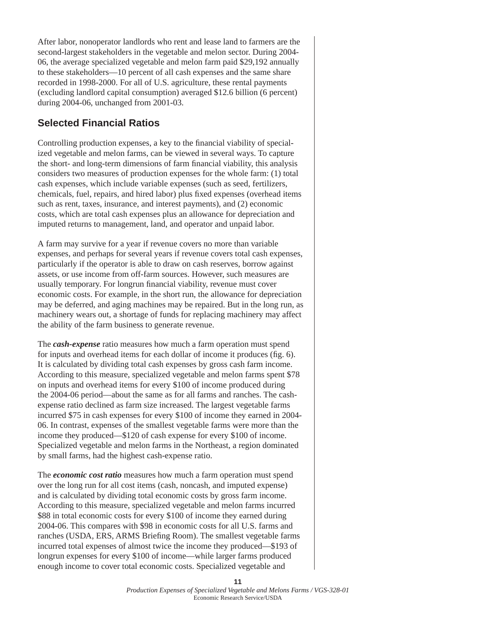After labor, nonoperator landlords who rent and lease land to farmers are the second-largest stakeholders in the vegetable and melon sector. During 2004- 06, the average specialized vegetable and melon farm paid \$29,192 annually to these stakeholders—10 percent of all cash expenses and the same share recorded in 1998-2000. For all of U.S. agriculture, these rental payments (excluding landlord capital consumption) averaged \$12.6 billion (6 percent) during 2004-06, unchanged from 2001-03.

### **Selected Financial Ratios**

Controlling production expenses, a key to the financial viability of specialized vegetable and melon farms, can be viewed in several ways. To capture the short- and long-term dimensions of farm financial viability, this analysis considers two measures of production expenses for the whole farm: (1) total cash expenses, which include variable expenses (such as seed, fertilizers, chemicals, fuel, repairs, and hired labor) plus fixed expenses (overhead items such as rent, taxes, insurance, and interest payments), and (2) economic costs, which are total cash expenses plus an allowance for depreciation and imputed returns to management, land, and operator and unpaid labor.

A farm may survive for a year if revenue covers no more than variable expenses, and perhaps for several years if revenue covers total cash expenses, particularly if the operator is able to draw on cash reserves, borrow against assets, or use income from off-farm sources. However, such measures are usually temporary. For longrun financial viability, revenue must cover economic costs. For example, in the short run, the allowance for depreciation may be deferred, and aging machines may be repaired. But in the long run, as machinery wears out, a shortage of funds for replacing machinery may affect the ability of the farm business to generate revenue.

The *cash-expense* ratio measures how much a farm operation must spend for inputs and overhead items for each dollar of income it produces (fig. 6). It is calculated by dividing total cash expenses by gross cash farm income. According to this measure, specialized vegetable and melon farms spent \$78 on inputs and overhead items for every \$100 of income produced during the 2004-06 period—about the same as for all farms and ranches. The cashexpense ratio declined as farm size increased. The largest vegetable farms incurred \$75 in cash expenses for every \$100 of income they earned in 2004- 06. In contrast, expenses of the smallest vegetable farms were more than the income they produced—\$120 of cash expense for every \$100 of income. Specialized vegetable and melon farms in the Northeast, a region dominated by small farms, had the highest cash-expense ratio.

The *economic cost ratio* measures how much a farm operation must spend over the long run for all cost items (cash, noncash, and imputed expense) and is calculated by dividing total economic costs by gross farm income. According to this measure, specialized vegetable and melon farms incurred \$88 in total economic costs for every \$100 of income they earned during 2004-06. This compares with \$98 in economic costs for all U.S. farms and ranches (USDA, ERS, ARMS Briefing Room). The smallest vegetable farms incurred total expenses of almost twice the income they produced—\$193 of longrun expenses for every \$100 of income—while larger farms produced enough income to cover total economic costs. Specialized vegetable and

**11**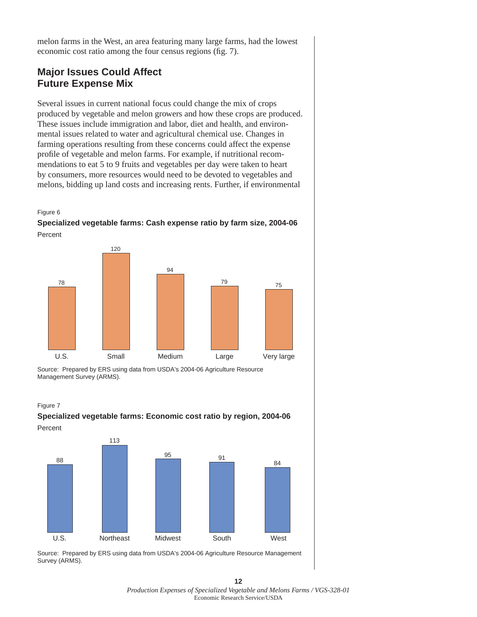melon farms in the West, an area featuring many large farms, had the lowest economic cost ratio among the four census regions (fig. 7).

### **Major Issues Could Affect Future Expense Mix**

Several issues in current national focus could change the mix of crops produced by vegetable and melon growers and how these crops are produced. These issues include immigration and labor, diet and health, and environmental issues related to water and agricultural chemical use. Changes in farming operations resulting from these concerns could affect the expense profile of vegetable and melon farms. For example, if nutritional recommendations to eat 5 to 9 fruits and vegetables per day were taken to heart by consumers, more resources would need to be devoted to vegetables and melons, bidding up land costs and increasing rents. Further, if environmental



**Specialized vegetable farms: Cash expense ratio by farm size, 2004-06** Percent



Source: Prepared by ERS using data from USDA's 2004-06 Agriculture Resource Management Survey (ARMS).

Figure 7





**12** *Production Expenses of Specialized Vegetable and Melons Farms / VGS-328-01*  Economic Research Service/USDA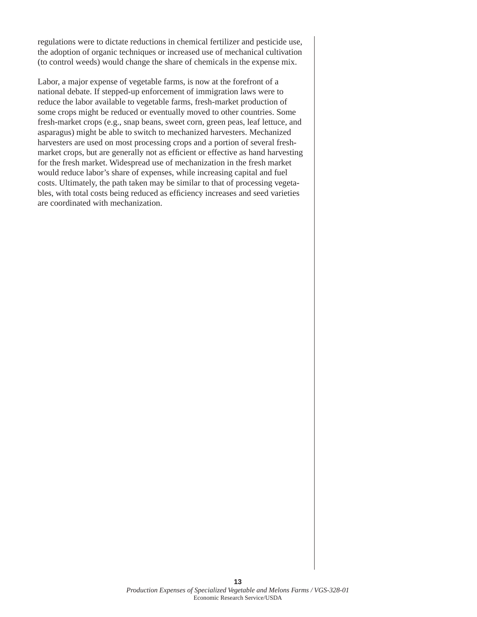regulations were to dictate reductions in chemical fertilizer and pesticide use, the adoption of organic techniques or increased use of mechanical cultivation (to control weeds) would change the share of chemicals in the expense mix.

Labor, a major expense of vegetable farms, is now at the forefront of a national debate. If stepped-up enforcement of immigration laws were to reduce the labor available to vegetable farms, fresh-market production of some crops might be reduced or eventually moved to other countries. Some fresh-market crops (e.g., snap beans, sweet corn, green peas, leaf lettuce, and asparagus) might be able to switch to mechanized harvesters. Mechanized harvesters are used on most processing crops and a portion of several freshmarket crops, but are generally not as efficient or effective as hand harvesting for the fresh market. Widespread use of mechanization in the fresh market would reduce labor's share of expenses, while increasing capital and fuel costs. Ultimately, the path taken may be similar to that of processing vegetables, with total costs being reduced as efficiency increases and seed varieties are coordinated with mechanization.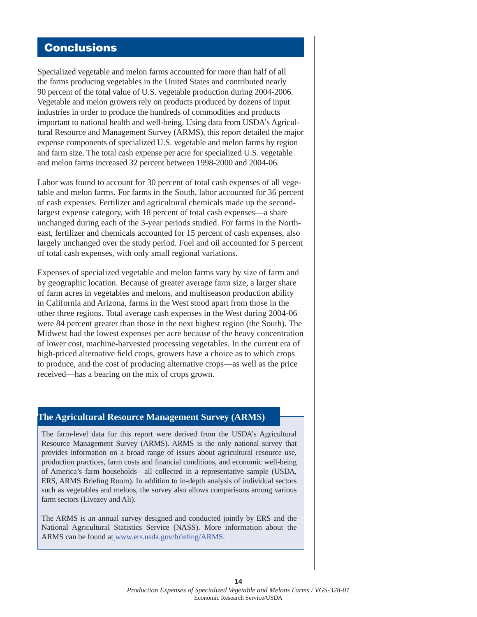# **Conclusions**

Specialized vegetable and melon farms accounted for more than half of all the farms producing vegetables in the United States and contributed nearly 90 percent of the total value of U.S. vegetable production during 2004-2006. Vegetable and melon growers rely on products produced by dozens of input industries in order to produce the hundreds of commodities and products important to national health and well-being. Using data from USDA's Agricultural Resource and Management Survey (ARMS), this report detailed the major expense components of specialized U.S. vegetable and melon farms by region and farm size. The total cash expense per acre for specialized U.S. vegetable and melon farms increased 32 percent between 1998-2000 and 2004-06.

Labor was found to account for 30 percent of total cash expenses of all vegetable and melon farms. For farms in the South, labor accounted for 36 percent of cash expenses. Fertilizer and agricultural chemicals made up the secondlargest expense category, with 18 percent of total cash expenses—a share unchanged during each of the 3-year periods studied. For farms in the Northeast, fertilizer and chemicals accounted for 15 percent of cash expenses, also largely unchanged over the study period. Fuel and oil accounted for 5 percent of total cash expenses, with only small regional variations.

Expenses of specialized vegetable and melon farms vary by size of farm and by geographic location. Because of greater average farm size, a larger share of farm acres in vegetables and melons, and multiseason production ability in California and Arizona, farms in the West stood apart from those in the other three regions. Total average cash expenses in the West during 2004-06 were 84 percent greater than those in the next highest region (the South). The Midwest had the lowest expenses per acre because of the heavy concentration of lower cost, machine-harvested processing vegetables. In the current era of high-priced alternative field crops, growers have a choice as to which crops to produce, and the cost of producing alternative crops—as well as the price received—has a bearing on the mix of crops grown.

### **The Agricultural Resource Management Survey (ARMS)**

The farm-level data for this report were derived from the USDA's Agricultural Resource Management Survey (ARMS). ARMS is the only national survey that provides information on a broad range of issues about agricultural resource use, production practices, farm costs and financial conditions, and economic well-being of America's farm households—all collected in a representative sample (USDA, ERS, ARMS Briefing Room). In addition to in-depth analysis of individual sectors such as vegetables and melons, the survey also allows comparisons among various farm sectors (Livezey and Ali).

The ARMS is an annual survey designed and conducted jointly by ERS and the National Agricultural Statistics Service (NASS). More information about the ARMS can be found at www.ers.usda.gov/briefing/ARMS.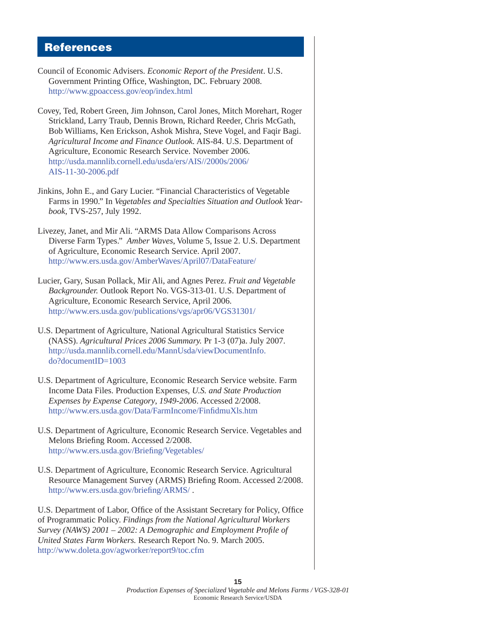### **References**

- Council of Economic Advisers. *Economic Report of the President*. U.S. Government Printing Office, Washington, DC. February 2008. <http://www.gpoaccess.gov/eop/index.html>
- Covey, Ted, Robert Green, Jim Johnson, Carol Jones, Mitch Morehart, Roger Strickland, Larry Traub, Dennis Brown, Richard Reeder, Chris McGath, Bob Williams, Ken Erickson, Ashok Mishra, Steve Vogel, and Faqir Bagi. *Agricultural Income and Finance Outlook.* AIS-84. U.S. Department of Agriculture, Economic Research Service. November 2006. [http://usda.mannlib.cornell.edu/usda/ers/AIS//2000s/2006/](http://usda.mannlib.cornell.edu/usda/ers/AIS/2000s/2006/AIS-11-30-2006.pdf) AIS-11-30-2006.pdf
- Jinkins, John E., and Gary Lucier. "Financial Characteristics of Vegetable Farms in 1990." In *Vegetables and Specialties Situation and Outlook Yearbook*, TVS-257, July 1992.
- Livezey, Janet, and Mir Ali. "ARMS Data Allow Comparisons Across Diverse Farm Types." *Amber Waves*, Volume 5, Issue 2. U.S. Department of Agriculture, Economic Research Service. April 2007. [http://www.ers.usda.gov/AmberWaves/April07/](http://www.ers.usda.gov/AmberWaves/April07/DataFeature/)DataFeature/
- Lucier, Gary, Susan Pollack, Mir Ali, and Agnes Perez. *Fruit and Vegetable Backgrounder.* Outlook Report No. VGS-313-01. U.S. Department of Agriculture, Economic Research Service, April 2006. <http://www.ers.usda.gov/publications/vgs/apr06/VGS31301/>
- U.S. Department of Agriculture, National Agricultural Statistics Service (NASS). *Agricultural Prices 2006 Summary.* Pr 1-3 (07)a. July 2007. [http://usda.mannlib.cornell.edu/MannUsda/viewDocumentInfo.](http://usda.mannlib.cornell.edu/MannUsda/viewDocumentInfo.do?documentID=1003) do?documentID=1003
- U.S. Department of Agriculture, Economic Research Service website. Farm Income Data Files. Production Expenses, *U.S. and State Production Expenses by Expense Category*, *1949-2006*. Accessed 2/2008. http://www.ers.usda.gov/Data/FarmIncome/FinfidmuXls.htm
- U.S. Department of Agriculture, Economic Research Service. Vegetables and Melons Briefing Room. Accessed 2/2008. http://www.ers.usda.gov/Briefing/Vegetables/
- U.S. Department of Agriculture, Economic Research Service. Agricultural Resource Management Survey (ARMS) Briefing Room. Accessed 2/2008. http://www.ers.usda.gov/briefing/ARMS/.

U.S. Department of Labor, Office of the Assistant Secretary for Policy, Office of Programmatic Policy. *Findings from the National Agricultural Workers Survey (NAWS) 2001 – 2002: A Demographic and Employment Profile of United States Farm Workers.* Research Report No. 9. March 2005. <http://www.doleta.gov/agworker/report9/toc.cfm>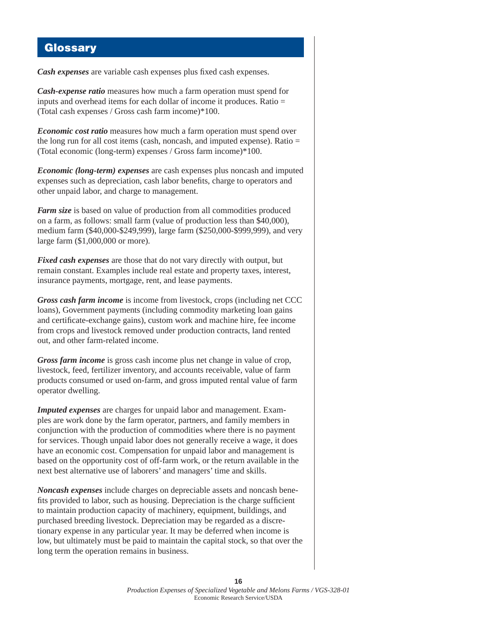### **Glossary**

*Cash expenses* are variable cash expenses plus fixed cash expenses.

*Cash-expense ratio* measures how much a farm operation must spend for inputs and overhead items for each dollar of income it produces. Ratio = (Total cash expenses / Gross cash farm income)\*100.

*Economic cost ratio* measures how much a farm operation must spend over the long run for all cost items (cash, noncash, and imputed expense). Ratio = (Total economic (long-term) expenses / Gross farm income)\*100.

*Economic (long-term) expenses* are cash expenses plus noncash and imputed expenses such as depreciation, cash labor benefits, charge to operators and other unpaid labor, and charge to management.

*Farm size* is based on value of production from all commodities produced on a farm, as follows: small farm (value of production less than \$40,000), medium farm (\$40,000-\$249,999), large farm (\$250,000-\$999,999), and very large farm (\$1,000,000 or more).

*Fixed cash expenses* are those that do not vary directly with output, but remain constant. Examples include real estate and property taxes, interest, insurance payments, mortgage, rent, and lease payments.

*Gross cash farm income* is income from livestock, crops (including net CCC loans), Government payments (including commodity marketing loan gains and certificate-exchange gains), custom work and machine hire, fee income from crops and livestock removed under production contracts, land rented out, and other farm-related income.

*Gross farm income* is gross cash income plus net change in value of crop, livestock, feed, fertilizer inventory, and accounts receivable, value of farm products consumed or used on-farm, and gross imputed rental value of farm operator dwelling.

*Imputed expenses* are charges for unpaid labor and management. Examples are work done by the farm operator, partners, and family members in conjunction with the production of commodities where there is no payment for services. Though unpaid labor does not generally receive a wage, it does have an economic cost. Compensation for unpaid labor and management is based on the opportunity cost of off-farm work, or the return available in the next best alternative use of laborers' and managers' time and skills.

*Noncash expenses* include charges on depreciable assets and noncash benefits provided to labor, such as housing. Depreciation is the charge sufficient to maintain production capacity of machinery, equipment, buildings, and purchased breeding livestock. Depreciation may be regarded as a discretionary expense in any particular year. It may be deferred when income is low, but ultimately must be paid to maintain the capital stock, so that over the long term the operation remains in business.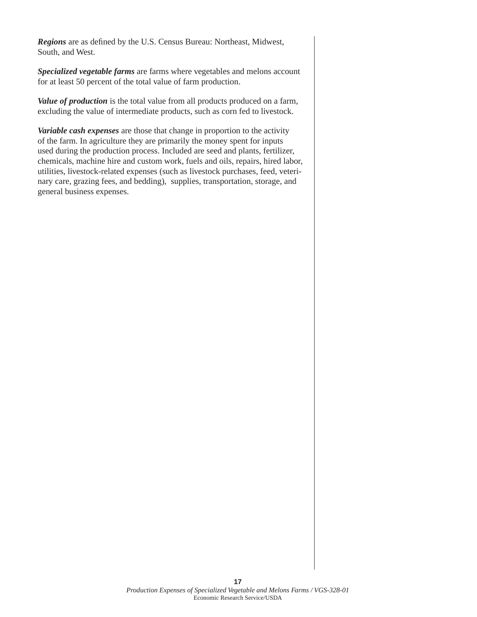*Regions* are as defined by the U.S. Census Bureau: Northeast, Midwest, South, and West.

*Specialized vegetable farms* are farms where vegetables and melons account for at least 50 percent of the total value of farm production.

*Value of production* is the total value from all products produced on a farm, excluding the value of intermediate products, such as corn fed to livestock.

*Variable cash expenses* are those that change in proportion to the activity of the farm. In agriculture they are primarily the money spent for inputs used during the production process. Included are seed and plants, fertilizer, chemicals, machine hire and custom work, fuels and oils, repairs, hired labor, utilities, livestock-related expenses (such as livestock purchases, feed, veterinary care, grazing fees, and bedding), supplies, transportation, storage, and general business expenses.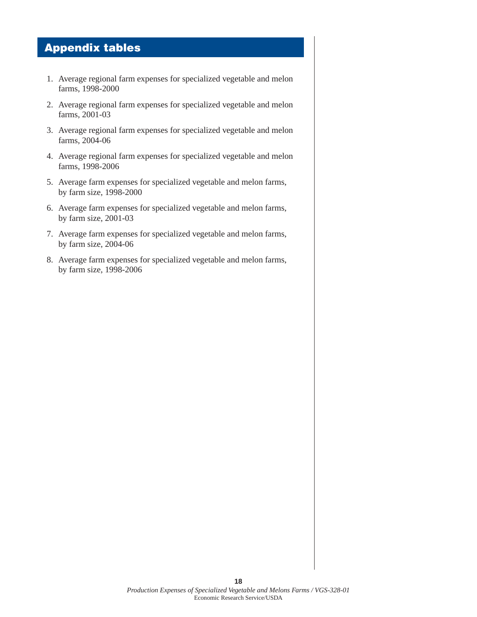# **Appendix tables**

- 1. Average regional farm expenses for specialized vegetable and melon farms, 1998-2000
- 2. Average regional farm expenses for specialized vegetable and melon farms, 2001-03
- 3. Average regional farm expenses for specialized vegetable and melon farms, 2004-06
- 4. Average regional farm expenses for specialized vegetable and melon farms, 1998-2006
- 5. Average farm expenses for specialized vegetable and melon farms, by farm size, 1998-2000
- 6. Average farm expenses for specialized vegetable and melon farms, by farm size, 2001-03
- 7. Average farm expenses for specialized vegetable and melon farms, by farm size, 2004-06
- 8. Average farm expenses for specialized vegetable and melon farms, by farm size, 1998-2006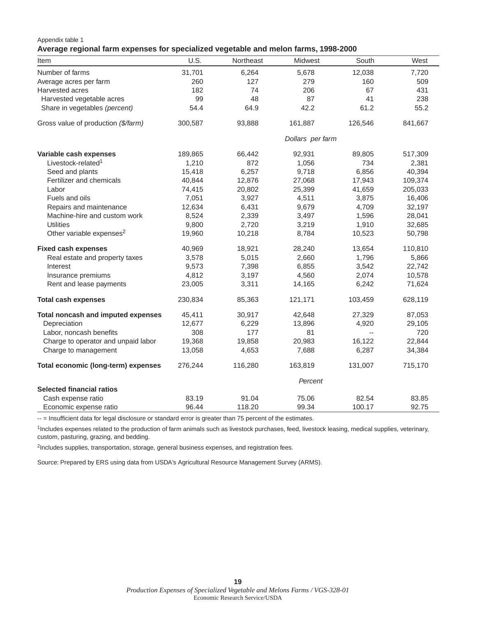#### Appendix table 1

### **Average regional farm expenses for specialized vegetable and melon farms, 1998-2000**

| Item                                 | U.S.    | Northeast | Midwest          | South                    | West    |
|--------------------------------------|---------|-----------|------------------|--------------------------|---------|
| Number of farms                      | 31,701  | 6,264     | 5,678            | 12,038                   | 7,720   |
| Average acres per farm               | 260     | 127       | 279              | 160                      | 509     |
| Harvested acres                      | 182     | 74        | 206              | 67                       | 431     |
| Harvested vegetable acres            | 99      | 48        | 87               | 41                       | 238     |
| Share in vegetables (percent)        | 54.4    | 64.9      | 42.2             | 61.2                     | 55.2    |
| Gross value of production (\$/farm)  | 300,587 | 93,888    | 161,887          | 126,546                  | 841,667 |
|                                      |         |           | Dollars per farm |                          |         |
| Variable cash expenses               | 189,865 | 66,442    | 92,931           | 89,805                   | 517,309 |
| Livestock-related <sup>1</sup>       | 1,210   | 872       | 1,056            | 734                      | 2,381   |
| Seed and plants                      | 15,418  | 6,257     | 9,718            | 6,856                    | 40,394  |
| Fertilizer and chemicals             | 40,844  | 12,876    | 27,068           | 17,943                   | 109,374 |
| Labor                                | 74,415  | 20,802    | 25,399           | 41,659                   | 205,033 |
| Fuels and oils                       | 7,051   | 3,927     | 4,511            | 3,875                    | 16,406  |
| Repairs and maintenance              | 12,634  | 6,431     | 9,679            | 4,709                    | 32,197  |
| Machine-hire and custom work         | 8,524   | 2,339     | 3,497            | 1,596                    | 28,041  |
| <b>Utilities</b>                     | 9,800   | 2,720     | 3,219            | 1,910                    | 32,685  |
| Other variable expenses <sup>2</sup> | 19,960  | 10,218    | 8,784            | 10,523                   | 50,798  |
| <b>Fixed cash expenses</b>           | 40,969  | 18,921    | 28,240           | 13,654                   | 110,810 |
| Real estate and property taxes       | 3,578   | 5,015     | 2,660            | 1,796                    | 5,866   |
| Interest                             | 9,573   | 7,398     | 6,855            | 3,542                    | 22,742  |
| Insurance premiums                   | 4,812   | 3,197     | 4,560            | 2,074                    | 10,578  |
| Rent and lease payments              | 23,005  | 3,311     | 14,165           | 6,242                    | 71,624  |
| <b>Total cash expenses</b>           | 230,834 | 85,363    | 121,171          | 103,459                  | 628,119 |
| Total noncash and imputed expenses   | 45,411  | 30,917    | 42,648           | 27,329                   | 87,053  |
| Depreciation                         | 12,677  | 6,229     | 13,896           | 4,920                    | 29,105  |
| Labor, noncash benefits              | 308     | 177       | 81               | $\overline{\phantom{a}}$ | 720     |
| Charge to operator and unpaid labor  | 19,368  | 19,858    | 20,983           | 16,122                   | 22,844  |
| Charge to management                 | 13,058  | 4,653     | 7,688            | 6,287                    | 34,384  |
| Total economic (long-term) expenses  | 276,244 | 116,280   | 163,819          | 131,007                  | 715,170 |
|                                      | Percent |           |                  |                          |         |
| <b>Selected financial ratios</b>     |         |           |                  |                          |         |
| Cash expense ratio                   | 83.19   | 91.04     | 75.06            | 82.54                    | 83.85   |
| Economic expense ratio               | 96.44   | 118.20    | 99.34            | 100.17                   | 92.75   |

-- = Insufficient data for legal disclosure or standard error is greater than 75 percent of the estimates.

<sup>1</sup>Includes expenses related to the production of farm animals such as livestock purchases, feed, livestock leasing, medical supplies, veterinary, custom, pasturing, grazing, and bedding.

2Includes supplies, transportation, storage, general business expenses, and registration fees.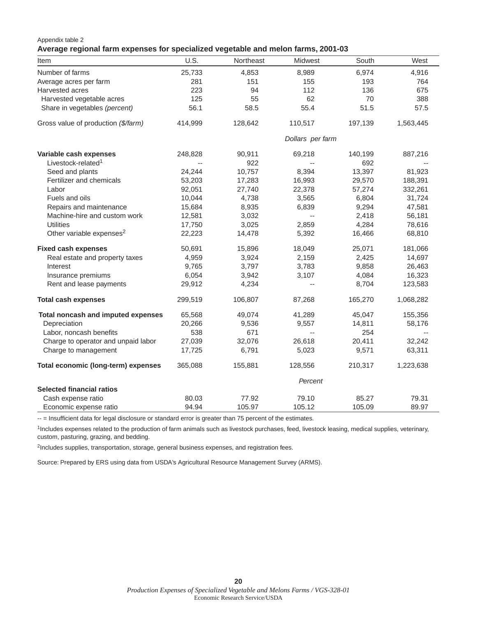#### Appendix table 2

### **Average regional farm expenses for specialized vegetable and melon farms, 2001-03**

| Item                                 | U.S.                     | Northeast | Midwest                  | South   | West      |
|--------------------------------------|--------------------------|-----------|--------------------------|---------|-----------|
| Number of farms                      | 25,733                   | 4,853     | 8,989                    | 6,974   | 4,916     |
| Average acres per farm               | 281                      | 151       | 155                      | 193     | 764       |
| Harvested acres                      | 223                      | 94        | 112                      | 136     | 675       |
| Harvested vegetable acres            | 125                      | 55        | 62                       | 70      | 388       |
| Share in vegetables (percent)        | 56.1                     | 58.5      | 55.4                     | 51.5    | 57.5      |
| Gross value of production (\$/farm)  | 414,999                  | 128,642   | 110,517                  | 197,139 | 1,563,445 |
|                                      |                          |           | Dollars per farm         |         |           |
| Variable cash expenses               | 248,828                  | 90,911    | 69,218                   | 140,199 | 887,216   |
| Livestock-related <sup>1</sup>       | $\overline{\phantom{a}}$ | 922       | $\overline{\phantom{a}}$ | 692     |           |
| Seed and plants                      | 24,244                   | 10,757    | 8,394                    | 13,397  | 81,923    |
| Fertilizer and chemicals             | 53,203                   | 17,283    | 16,993                   | 29,570  | 188,391   |
| Labor                                | 92,051                   | 27,740    | 22,378                   | 57,274  | 332,261   |
| Fuels and oils                       | 10,044                   | 4,738     | 3,565                    | 6,804   | 31,724    |
| Repairs and maintenance              | 15,684                   | 8,935     | 6,839                    | 9,294   | 47,581    |
| Machine-hire and custom work         | 12,581                   | 3,032     | $\overline{\phantom{a}}$ | 2,418   | 56,181    |
| <b>Utilities</b>                     | 17,750                   | 3,025     | 2,859                    | 4,284   | 78,616    |
| Other variable expenses <sup>2</sup> | 22,223                   | 14,478    | 5,392                    | 16,466  | 68,810    |
| <b>Fixed cash expenses</b>           | 50,691                   | 15,896    | 18,049                   | 25,071  | 181,066   |
| Real estate and property taxes       | 4,959                    | 3,924     | 2,159                    | 2,425   | 14,697    |
| Interest                             | 9,765                    | 3,797     | 3,783                    | 9,858   | 26,463    |
| Insurance premiums                   | 6,054                    | 3,942     | 3,107                    | 4,084   | 16,323    |
| Rent and lease payments              | 29,912                   | 4,234     | $\overline{\phantom{a}}$ | 8,704   | 123,583   |
| <b>Total cash expenses</b>           | 299,519                  | 106,807   | 87,268                   | 165,270 | 1,068,282 |
| Total noncash and imputed expenses   | 65,568                   | 49,074    | 41,289                   | 45,047  | 155,356   |
| Depreciation                         | 20,266                   | 9,536     | 9,557                    | 14,811  | 58,176    |
| Labor, noncash benefits              | 538                      | 671       | $\overline{\phantom{a}}$ | 254     | $-$       |
| Charge to operator and unpaid labor  | 27,039                   | 32,076    | 26,618                   | 20,411  | 32,242    |
| Charge to management                 | 17,725                   | 6,791     | 5,023                    | 9,571   | 63,311    |
| Total economic (long-term) expenses  | 365,088                  | 155,881   | 128,556                  | 210,317 | 1,223,638 |
|                                      |                          |           | Percent                  |         |           |
| <b>Selected financial ratios</b>     |                          |           |                          |         |           |
| Cash expense ratio                   | 80.03                    | 77.92     | 79.10                    | 85.27   | 79.31     |
| Economic expense ratio               | 94.94                    | 105.97    | 105.12                   | 105.09  | 89.97     |

-- = Insufficient data for legal disclosure or standard error is greater than 75 percent of the estimates.

<sup>1</sup>Includes expenses related to the production of farm animals such as livestock purchases, feed, livestock leasing, medical supplies, veterinary, custom, pasturing, grazing, and bedding.

2Includes supplies, transportation, storage, general business expenses, and registration fees.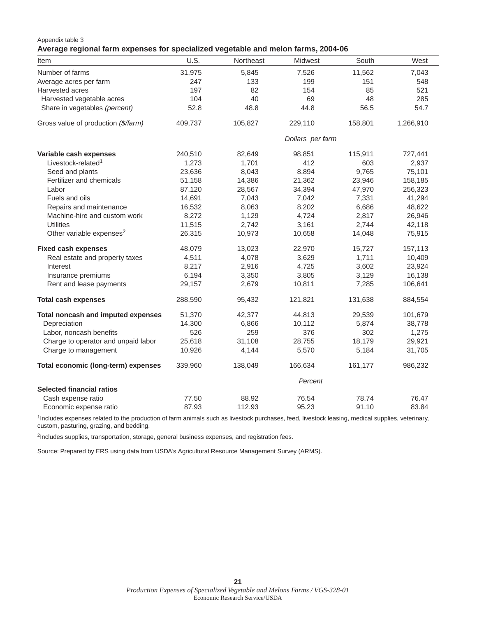#### Appendix table 3

#### **Average regional farm expenses for specialized vegetable and melon farms, 2004-06**

| Item                                 | U.S.    | Northeast | Midwest          | South   | West      |
|--------------------------------------|---------|-----------|------------------|---------|-----------|
| Number of farms                      | 31,975  | 5,845     | 7,526            | 11,562  | 7,043     |
| Average acres per farm               | 247     | 133       | 199              | 151     | 548       |
| Harvested acres                      | 197     | 82        | 154              | 85      | 521       |
| Harvested vegetable acres            | 104     | 40        | 69               | 48      | 285       |
| Share in vegetables (percent)        | 52.8    | 48.8      | 44.8             | 56.5    | 54.7      |
| Gross value of production (\$/farm)  | 409,737 | 105,827   | 229,110          | 158,801 | 1,266,910 |
|                                      |         |           | Dollars per farm |         |           |
| Variable cash expenses               | 240,510 | 82,649    | 98,851           | 115,911 | 727,441   |
| Livestock-related <sup>1</sup>       | 1,273   | 1,701     | 412              | 603     | 2,937     |
| Seed and plants                      | 23,636  | 8,043     | 8,894            | 9,765   | 75,101    |
| Fertilizer and chemicals             | 51,158  | 14,386    | 21,362           | 23,946  | 158,185   |
| Labor                                | 87,120  | 28,567    | 34,394           | 47,970  | 256,323   |
| Fuels and oils                       | 14,691  | 7,043     | 7,042            | 7,331   | 41,294    |
| Repairs and maintenance              | 16,532  | 8,063     | 8,202            | 6,686   | 48,622    |
| Machine-hire and custom work         | 8,272   | 1,129     | 4,724            | 2,817   | 26,946    |
| <b>Utilities</b>                     | 11,515  | 2,742     | 3,161            | 2,744   | 42,118    |
| Other variable expenses <sup>2</sup> | 26,315  | 10,973    | 10,658           | 14,048  | 75,915    |
| <b>Fixed cash expenses</b>           | 48,079  | 13,023    | 22,970           | 15,727  | 157,113   |
| Real estate and property taxes       | 4,511   | 4,078     | 3,629            | 1,711   | 10,409    |
| Interest                             | 8,217   | 2,916     | 4,725            | 3,602   | 23,924    |
| Insurance premiums                   | 6,194   | 3,350     | 3,805            | 3,129   | 16,138    |
| Rent and lease payments              | 29,157  | 2,679     | 10,811           | 7,285   | 106,641   |
| <b>Total cash expenses</b>           | 288,590 | 95,432    | 121,821          | 131,638 | 884,554   |
| Total noncash and imputed expenses   | 51,370  | 42,377    | 44,813           | 29,539  | 101,679   |
| Depreciation                         | 14,300  | 6,866     | 10,112           | 5,874   | 38,778    |
| Labor, noncash benefits              | 526     | 259       | 376              | 302     | 1,275     |
| Charge to operator and unpaid labor  | 25,618  | 31,108    | 28,755           | 18,179  | 29,921    |
| Charge to management                 | 10,926  | 4,144     | 5,570            | 5,184   | 31,705    |
| Total economic (long-term) expenses  | 339,960 | 138,049   | 166,634          | 161,177 | 986,232   |
|                                      | Percent |           |                  |         |           |
| <b>Selected financial ratios</b>     |         |           |                  |         |           |
| Cash expense ratio                   | 77.50   | 88.92     | 76.54            | 78.74   | 76.47     |
| Economic expense ratio               | 87.93   | 112.93    | 95.23            | 91.10   | 83.84     |

1Includes expenses related to the production of farm animals such as livestock purchases, feed, livestock leasing, medical supplies, veterinary, custom, pasturing, grazing, and bedding.

2Includes supplies, transportation, storage, general business expenses, and registration fees.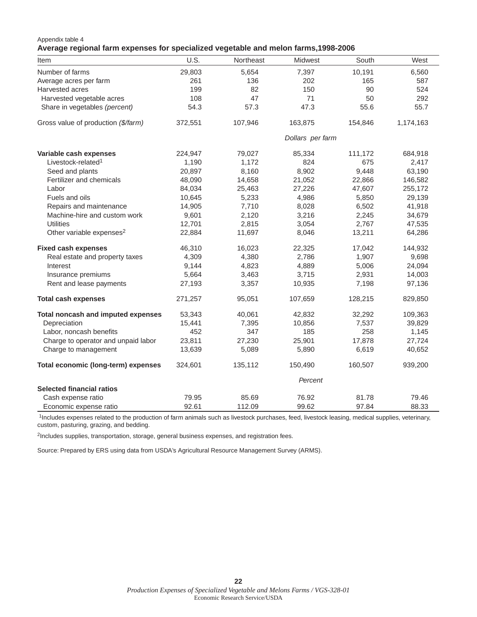#### Appendix table 4 **Average regional farm expenses for specialized vegetable and melon farms,1998-2006**

| Item                                 | U.S.    | Northeast | Midwest          | South   | West      |
|--------------------------------------|---------|-----------|------------------|---------|-----------|
| Number of farms                      | 29,803  | 5,654     | 7,397            | 10,191  | 6,560     |
| Average acres per farm               | 261     | 136       | 202              | 165     | 587       |
| Harvested acres                      | 199     | 82        | 150              | 90      | 524       |
| Harvested vegetable acres            | 108     | 47        | 71               | 50      | 292       |
| Share in vegetables (percent)        | 54.3    | 57.3      | 47.3             | 55.6    | 55.7      |
| Gross value of production (\$/farm)  | 372,551 | 107,946   | 163,875          | 154,846 | 1,174,163 |
|                                      |         |           | Dollars per farm |         |           |
| Variable cash expenses               | 224,947 | 79,027    | 85,334           | 111,172 | 684,918   |
| Livestock-related <sup>1</sup>       | 1,190   | 1,172     | 824              | 675     | 2,417     |
| Seed and plants                      | 20,897  | 8,160     | 8,902            | 9,448   | 63,190    |
| Fertilizer and chemicals             | 48,090  | 14,658    | 21,052           | 22,866  | 146,582   |
| Labor                                | 84,034  | 25,463    | 27,226           | 47,607  | 255,172   |
| Fuels and oils                       | 10,645  | 5,233     | 4,986            | 5,850   | 29,139    |
| Repairs and maintenance              | 14,905  | 7,710     | 8,028            | 6,502   | 41,918    |
| Machine-hire and custom work         | 9,601   | 2,120     | 3,216            | 2,245   | 34,679    |
| <b>Utilities</b>                     | 12,701  | 2,815     | 3,054            | 2,767   | 47,535    |
| Other variable expenses <sup>2</sup> | 22,884  | 11,697    | 8,046            | 13,211  | 64,286    |
| <b>Fixed cash expenses</b>           | 46,310  | 16,023    | 22,325           | 17,042  | 144,932   |
| Real estate and property taxes       | 4,309   | 4,380     | 2,786            | 1,907   | 9,698     |
| Interest                             | 9,144   | 4,823     | 4,889            | 5,006   | 24,094    |
| Insurance premiums                   | 5,664   | 3,463     | 3,715            | 2,931   | 14,003    |
| Rent and lease payments              | 27,193  | 3,357     | 10,935           | 7,198   | 97,136    |
| <b>Total cash expenses</b>           | 271,257 | 95,051    | 107,659          | 128,215 | 829,850   |
| Total noncash and imputed expenses   | 53,343  | 40,061    | 42,832           | 32,292  | 109,363   |
| Depreciation                         | 15,441  | 7,395     | 10,856           | 7,537   | 39,829    |
| Labor, noncash benefits              | 452     | 347       | 185              | 258     | 1,145     |
| Charge to operator and unpaid labor  | 23,811  | 27,230    | 25,901           | 17,878  | 27,724    |
| Charge to management                 | 13,639  | 5,089     | 5,890            | 6,619   | 40,652    |
| Total economic (long-term) expenses  | 324,601 | 135,112   | 150,490          | 160,507 | 939,200   |
|                                      | Percent |           |                  |         |           |
| <b>Selected financial ratios</b>     |         |           |                  |         |           |
| Cash expense ratio                   | 79.95   | 85.69     | 76.92            | 81.78   | 79.46     |
| Economic expense ratio               | 92.61   | 112.09    | 99.62            | 97.84   | 88.33     |

1Includes expenses related to the production of farm animals such as livestock purchases, feed, livestock leasing, medical supplies, veterinary, custom, pasturing, grazing, and bedding.

<sup>2</sup>Includes supplies, transportation, storage, general business expenses, and registration fees.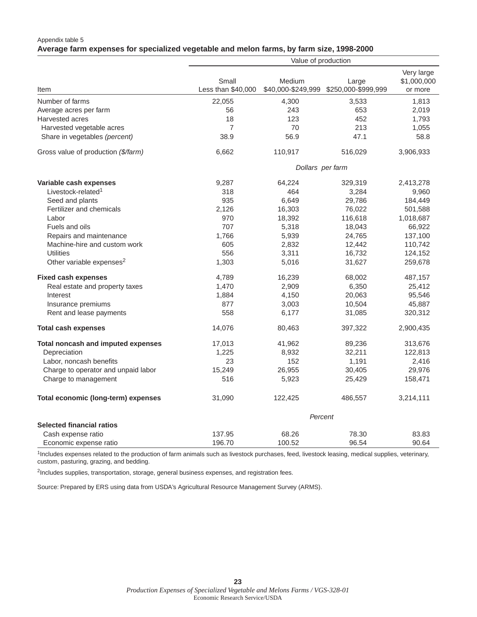### Appendix table 5 **Average farm expenses for specialized vegetable and melon farms, by farm size, 1998-2000**

|                                      | Value of production         |                              |                              |                                      |  |  |
|--------------------------------------|-----------------------------|------------------------------|------------------------------|--------------------------------------|--|--|
| Item                                 | Small<br>Less than \$40,000 | Medium<br>\$40,000-\$249,999 | Large<br>\$250,000-\$999,999 | Very large<br>\$1,000,000<br>or more |  |  |
| Number of farms                      | 22,055                      | 4,300                        | 3,533                        | 1,813                                |  |  |
| Average acres per farm               | 56                          | 243                          | 653                          | 2,019                                |  |  |
| Harvested acres                      | 18                          | 123                          | 452                          | 1,793                                |  |  |
| Harvested vegetable acres            | $\overline{7}$              | 70                           | 213                          | 1,055                                |  |  |
| Share in vegetables (percent)        | 38.9                        | 56.9                         | 47.1                         | 58.8                                 |  |  |
| Gross value of production (\$/farm)  | 6,662                       | 110,917                      | 516,029                      | 3,906,933                            |  |  |
|                                      |                             | Dollars per farm             |                              |                                      |  |  |
| Variable cash expenses               | 9,287                       | 64,224                       | 329,319                      | 2,413,278                            |  |  |
| Livestock-related <sup>1</sup>       | 318                         | 464                          | 3,284                        | 9,960                                |  |  |
| Seed and plants                      | 935                         | 6,649                        | 29,786                       | 184,449                              |  |  |
| Fertilizer and chemicals             | 2,126                       | 16,303                       | 76,022                       | 501,588                              |  |  |
| Labor                                | 970                         | 18,392                       | 116,618                      | 1,018,687                            |  |  |
| Fuels and oils                       | 707                         | 5,318                        | 18,043                       | 66,922                               |  |  |
| Repairs and maintenance              | 1,766                       | 5,939                        | 24,765                       | 137,100                              |  |  |
| Machine-hire and custom work         | 605                         | 2,832                        | 12,442                       | 110,742                              |  |  |
| <b>Utilities</b>                     | 556                         | 3,311                        | 16,732                       | 124,152                              |  |  |
| Other variable expenses <sup>2</sup> | 1,303                       | 5,016                        | 31,627                       | 259,678                              |  |  |
| <b>Fixed cash expenses</b>           | 4,789                       | 16,239                       | 68,002                       | 487,157                              |  |  |
| Real estate and property taxes       | 1,470                       | 2,909                        | 6,350                        | 25,412                               |  |  |
| Interest                             | 1,884                       | 4,150                        | 20,063                       | 95,546                               |  |  |
| Insurance premiums                   | 877                         | 3,003                        | 10,504                       | 45,887                               |  |  |
| Rent and lease payments              | 558                         | 6,177                        | 31,085                       | 320,312                              |  |  |
| <b>Total cash expenses</b>           | 14,076                      | 80,463                       | 397,322                      | 2,900,435                            |  |  |
| Total noncash and imputed expenses   | 17,013                      | 41,962                       | 89,236                       | 313,676                              |  |  |
| Depreciation                         | 1,225                       | 8,932                        | 32,211                       | 122,813                              |  |  |
| Labor, noncash benefits              | 23                          | 152                          | 1,191                        | 2,416                                |  |  |
| Charge to operator and unpaid labor  | 15,249                      | 26,955                       | 30,405                       | 29,976                               |  |  |
| Charge to management                 | 516                         | 5,923                        | 25,429                       | 158,471                              |  |  |
| Total economic (long-term) expenses  | 31,090                      | 122,425                      | 486,557                      | 3,214,111                            |  |  |
|                                      |                             | Percent                      |                              |                                      |  |  |
| <b>Selected financial ratios</b>     |                             |                              |                              |                                      |  |  |
| Cash expense ratio                   | 137.95                      | 68.26                        | 78.30                        | 83.83                                |  |  |
| Economic expense ratio               | 196.70                      | 100.52                       | 96.54                        | 90.64                                |  |  |

1Includes expenses related to the production of farm animals such as livestock purchases, feed, livestock leasing, medical supplies, veterinary, custom, pasturing, grazing, and bedding.

<sup>2</sup>Includes supplies, transportation, storage, general business expenses, and registration fees.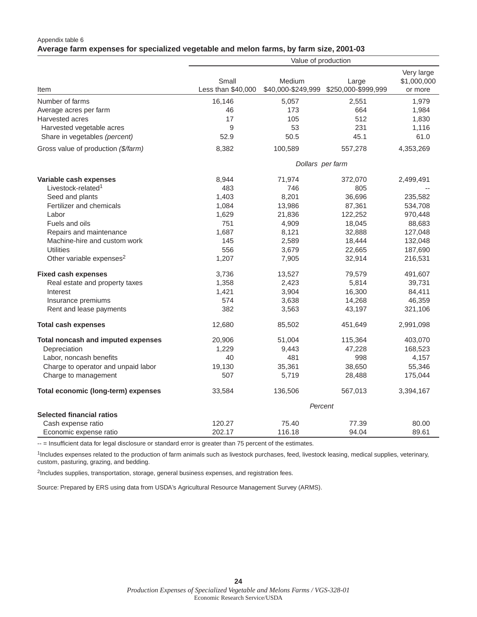### Appendix table 6 **Average farm expenses for specialized vegetable and melon farms, by farm size, 2001-03**

|                                      | Value of production         |                              |                              |                                      |  |  |
|--------------------------------------|-----------------------------|------------------------------|------------------------------|--------------------------------------|--|--|
| Item                                 | Small<br>Less than \$40,000 | Medium<br>\$40,000-\$249,999 | Large<br>\$250,000-\$999,999 | Very large<br>\$1,000,000<br>or more |  |  |
| Number of farms                      | 16,146                      | 5,057                        | 2,551                        | 1,979                                |  |  |
| Average acres per farm               | 46                          | 173                          | 664                          | 1,984                                |  |  |
| Harvested acres                      | 17                          | 105                          | 512                          | 1,830                                |  |  |
| Harvested vegetable acres            | 9                           | 53                           | 231                          | 1,116                                |  |  |
| Share in vegetables (percent)        | 52.9                        | 50.5                         | 45.1                         | 61.0                                 |  |  |
| Gross value of production (\$/farm)  | 8,382                       | 100,589                      | 557,278                      | 4,353,269                            |  |  |
|                                      |                             | Dollars per farm             |                              |                                      |  |  |
| Variable cash expenses               | 8,944                       | 71,974                       | 372,070                      | 2,499,491                            |  |  |
| Livestock-related <sup>1</sup>       | 483                         | 746                          | 805                          |                                      |  |  |
| Seed and plants                      | 1,403                       | 8,201                        | 36,696                       | 235,582                              |  |  |
| Fertilizer and chemicals             | 1,084                       | 13,986                       | 87,361                       | 534,708                              |  |  |
| Labor                                | 1,629                       | 21,836                       | 122,252                      | 970,448                              |  |  |
| Fuels and oils                       | 751                         | 4,909                        | 18,045                       | 88,683                               |  |  |
| Repairs and maintenance              | 1,687                       | 8,121                        | 32,888                       | 127,048                              |  |  |
| Machine-hire and custom work         | 145                         | 2,589                        | 18,444                       | 132,048                              |  |  |
| <b>Utilities</b>                     | 556                         | 3,679                        | 22,665                       | 187,690                              |  |  |
| Other variable expenses <sup>2</sup> | 1,207                       | 7,905                        | 32,914                       | 216,531                              |  |  |
| <b>Fixed cash expenses</b>           | 3,736                       | 13,527                       | 79,579                       | 491,607                              |  |  |
| Real estate and property taxes       | 1,358                       | 2,423                        | 5,814                        | 39,731                               |  |  |
| Interest                             | 1,421                       | 3,904                        | 16,300                       | 84,411                               |  |  |
| Insurance premiums                   | 574                         | 3,638                        | 14,268                       | 46,359                               |  |  |
| Rent and lease payments              | 382                         | 3,563                        | 43,197                       | 321,106                              |  |  |
| <b>Total cash expenses</b>           | 12,680                      | 85,502                       | 451,649                      | 2,991,098                            |  |  |
| Total noncash and imputed expenses   | 20,906                      | 51,004                       | 115,364                      | 403,070                              |  |  |
| Depreciation                         | 1,229                       | 9,443                        | 47,228                       | 168,523                              |  |  |
| Labor, noncash benefits              | 40                          | 481                          | 998                          | 4,157                                |  |  |
| Charge to operator and unpaid labor  | 19,130                      | 35,361                       | 38,650                       | 55,346                               |  |  |
| Charge to management                 | 507                         | 5,719                        | 28,488                       | 175,044                              |  |  |
| Total economic (long-term) expenses  | 33,584                      | 136,506                      | 567,013                      | 3,394,167                            |  |  |
|                                      |                             | Percent                      |                              |                                      |  |  |
| <b>Selected financial ratios</b>     |                             |                              |                              |                                      |  |  |
| Cash expense ratio                   | 120.27                      | 75.40                        | 77.39                        | 80.00                                |  |  |
| Economic expense ratio               | 202.17                      | 116.18                       | 94.04                        | 89.61                                |  |  |

-- = Insufficient data for legal disclosure or standard error is greater than 75 percent of the estimates.

1Includes expenses related to the production of farm animals such as livestock purchases, feed, livestock leasing, medical supplies, veterinary, custom, pasturing, grazing, and bedding.

<sup>2</sup>Includes supplies, transportation, storage, general business expenses, and registration fees.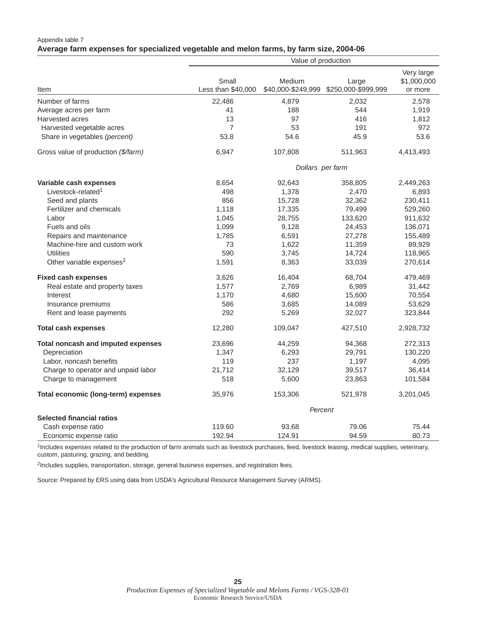### Appendix table 7 **Average farm expenses for specialized vegetable and melon farms, by farm size, 2004-06**

|                                      | Value of production         |                              |                              |                                      |  |  |
|--------------------------------------|-----------------------------|------------------------------|------------------------------|--------------------------------------|--|--|
| Item                                 | Small<br>Less than \$40,000 | Medium<br>\$40,000-\$249,999 | Large<br>\$250,000-\$999,999 | Very large<br>\$1,000,000<br>or more |  |  |
| Number of farms                      | 22,486                      | 4,879                        | 2,032                        | 2,578                                |  |  |
| Average acres per farm               | 41                          | 188                          | 544                          | 1,919                                |  |  |
| Harvested acres                      | 13                          | 97                           | 416                          | 1,812                                |  |  |
| Harvested vegetable acres            | $\overline{7}$              | 53                           | 191                          | 972                                  |  |  |
| Share in vegetables (percent)        | 53.8                        | 54.6                         | 45.9                         | 53.6                                 |  |  |
| Gross value of production (\$/farm)  | 6,947                       | 107,808                      | 511,963                      | 4,413,493                            |  |  |
|                                      |                             | Dollars per farm             |                              |                                      |  |  |
| Variable cash expenses               | 8,654                       | 92,643                       | 358,805                      | 2,449,263                            |  |  |
| Livestock-related <sup>1</sup>       | 498                         | 1,378                        | 2,470                        | 6,893                                |  |  |
| Seed and plants                      | 856                         | 15,728                       | 32,362                       | 230,411                              |  |  |
| Fertilizer and chemicals             | 1,118                       | 17,335                       | 79,499                       | 529,260                              |  |  |
| Labor                                | 1,045                       | 28,755                       | 133,620                      | 911,632                              |  |  |
| Fuels and oils                       | 1,099                       | 9,128                        | 24,453                       | 136,071                              |  |  |
| Repairs and maintenance              | 1,785                       | 6,591                        | 27,278                       | 155,489                              |  |  |
| Machine-hire and custom work         | 73                          | 1,622                        | 11,359                       | 89,929                               |  |  |
| <b>Utilities</b>                     | 590                         | 3,745                        | 14,724                       | 118,965                              |  |  |
| Other variable expenses <sup>2</sup> | 1,591                       | 8,363                        | 33,039                       | 270,614                              |  |  |
| <b>Fixed cash expenses</b>           | 3,626                       | 16,404                       | 68,704                       | 479,469                              |  |  |
| Real estate and property taxes       | 1,577                       | 2,769                        | 6,989                        | 31,442                               |  |  |
| Interest                             | 1,170                       | 4,680                        | 15,600                       | 70,554                               |  |  |
| Insurance premiums                   | 586                         | 3,685                        | 14,089                       | 53,629                               |  |  |
| Rent and lease payments              | 292                         | 5,269                        | 32,027                       | 323,844                              |  |  |
| <b>Total cash expenses</b>           | 12,280                      | 109,047                      | 427,510                      | 2,928,732                            |  |  |
| Total noncash and imputed expenses   | 23,696                      | 44,259                       | 94,368                       | 272,313                              |  |  |
| Depreciation                         | 1,347                       | 6,293                        | 29,791                       | 130,220                              |  |  |
| Labor, noncash benefits              | 119                         | 237                          | 1,197                        | 4,095                                |  |  |
| Charge to operator and unpaid labor  | 21,712                      | 32,129                       | 39,517                       | 36,414                               |  |  |
| Charge to management                 | 518                         | 5,600                        | 23,863                       | 101,584                              |  |  |
| Total economic (long-term) expenses  | 35,976                      | 153,306                      | 521,978                      | 3,201,045                            |  |  |
|                                      |                             | Percent                      |                              |                                      |  |  |
| <b>Selected financial ratios</b>     |                             |                              |                              |                                      |  |  |
| Cash expense ratio                   | 119.60                      | 93.68                        | 79.06                        | 75.44                                |  |  |
| Economic expense ratio               | 192.94                      | 124.91                       | 94.59                        | 80.73                                |  |  |

1Includes expenses related to the production of farm animals such as livestock purchases, feed, livestock leasing, medical supplies, veterinary, custom, pasturing, grazing, and bedding.

<sup>2</sup>Includes supplies, transportation, storage, general business expenses, and registration fees.